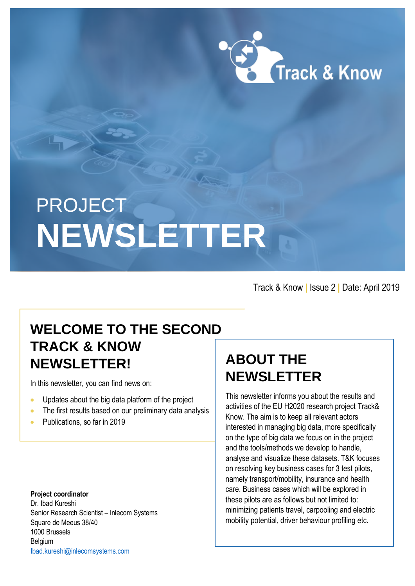

# PROJECT **NEWSLETTER**

Track & Know **|** Issue 2 **|** Date: April 2019

## **WELCOME TO THE SECOND TRACK & KNOW NEWSLETTER!**

In this newsletter, you can find news on:

- Updates about the big data platform of the project
- The first results based on our preliminary data analysis
- Publications, so far in 2019

**Project coordinator** Dr. Ibad Kureshi Senior Research Scientist – Inlecom Systems Square de Meeus 38/40 1000 Brussels Belgium [Ibad.kureshi@inlecomsystems.com](mailto:Ibad.kureshi@inlecomsystems.com)

# **ABOUT THE NEWSLETTER**

This newsletter informs you about the results and activities of the EU H2020 research project Track& Know. The aim is to keep all relevant actors interested in managing big data, more specifically on the type of big data we focus on in the project and the tools/methods we develop to handle, analyse and visualize these datasets. T&K focuses on resolving key business cases for 3 test pilots, namely transport/mobility, insurance and health care. Business cases which will be explored in these pilots are as follows but not limited to: minimizing patients travel, carpooling and electric mobility potential, driver behaviour profiling etc.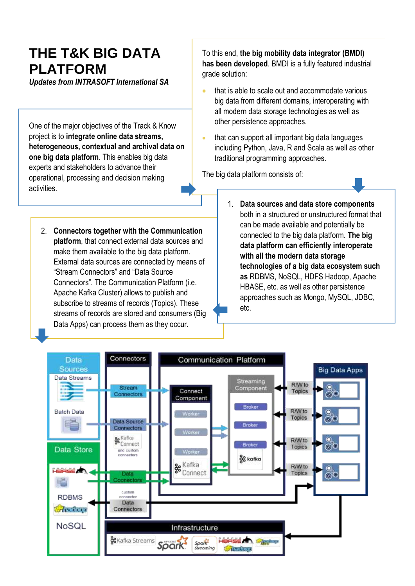## **THE T&K BIG DATA PLATFORM**

*Updates from INTRASOFT International SA*

One of the major objectives of the Track & Know project is to **integrate online data streams, heterogeneous, contextual and archival data on one big data platform**. This enables big data experts and stakeholders to advance their operational, processing and decision making activities.

2. **Connectors together with the Communication platform**, that connect external data sources and make them available to the big data platform. External data sources are connected by means of "Stream Connectors" and "Data Source Connectors". The Communication Platform (i.e. Apache Kafka Cluster) allows to publish and subscribe to streams of records (Topics). These streams of records are stored and consumers (Big Data Apps) can process them as they occur.

To this end, **the big mobility data integrator (BMDI) has been developed**. BMDI is a fully featured industrial grade solution:

- that is able to scale out and accommodate various big data from different domains, interoperating with all modern data storage technologies as well as other persistence approaches.
- that can support all important big data languages including Python, Java, R and Scala as well as other traditional programming approaches.

The big data platform consists of:

1. **Data sources and data store components** both in a structured or unstructured format that can be made available and potentially be connected to the big data platform. **The big data platform can efficiently interoperate with all the modern data storage technologies of a big data ecosystem such as** RDBMS, NoSQL, HDFS Hadoop, Apache HBASE, etc. as well as other persistence approaches such as Mongo, MySQL, JDBC, etc.

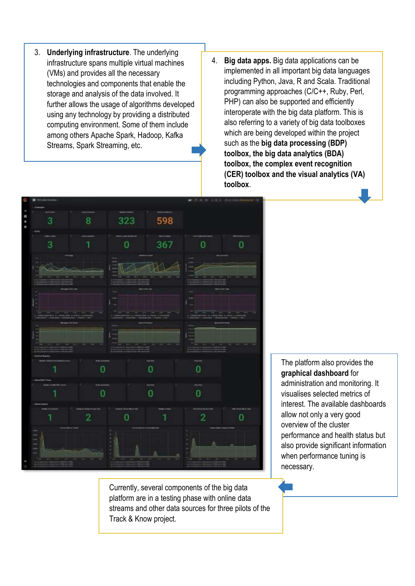- 3. **Underlying infrastructure**. The underlying infrastructure spans multiple virtual machines (VMs) and provides all the necessary technologies and components that enable the storage and analysis of the data involved. It further allows the usage of algorithms developed using any technology by providing a distributed computing environment. Some of them include among others Apache Spark, Hadoop, Kafka Streams, Spark Streaming, etc.
- 4. **Big data apps.** Big data applications can be implemented in all important big data languages including Python, Java, R and Scala. Traditional programming approaches (C/C++, Ruby, Perl, PHP) can also be supported and efficiently interoperate with the big data platform. This is also referring to a variety of big data toolboxes which are being developed within the project such as the **big data processing (BDP) toolbox, the big data analytics (BDA) toolbox, the complex event recognition (CER) toolbox and the visual analytics (VA) toolbox**.



Currently, several components of the big data platform are in a testing phase with online data streams and other data sources for three pilots of the Track & Know project.

The platform also provides the **graphical dashboard** for administration and monitoring. It visualises selected metrics of interest. The available dashboards allow not only a very good overview of the cluster performance and health status but also provide significant information when performance tuning is necessary.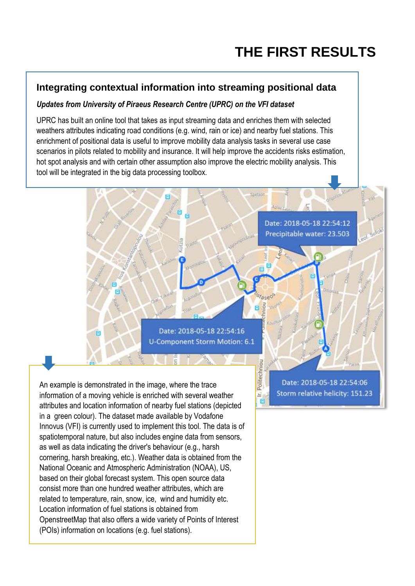Date: 2018-05-18 22:54:12 Precipitable water: 23.503

## **Integrating contextual information into streaming positional data**

#### *Updates from University of Piraeus Research Centre (UPRC) on the VFI dataset*

UPRC has built an online tool that takes as input streaming data and enriches them with selected weathers attributes indicating road conditions (e.g. wind, rain or ice) and nearby fuel stations. This enrichment of positional data is useful to improve mobility data analysis tasks in several use case scenarios in pilots related to mobility and insurance. It will help improve the accidents risks estimation, hot spot analysis and with certain other assumption also improve the electric mobility analysis. This tool will be integrated in the big data processing toolbox.

Date: 2018-05-18 22:54:16

Crettin

ā

Politechniou

£, 日

**U-Component Storm Motion: 6.1** 

An example is demonstrated in the image, where the trace information of a moving vehicle is enriched with several weather attributes and location information of nearby fuel stations (depicted in a green colour). The dataset made available by Vodafone Innovus (VFI) is currently used to implement this tool. The data is of spatiotemporal nature, but also includes engine data from sensors, as well as data indicating the driver's behaviour (e.g., harsh cornering, harsh breaking, etc.). Weather data is obtained from the National Oceanic and Atmospheric Administration (NOAA), US, based on their global forecast system. This open source data consist more than one hundred weather attributes, which are related to temperature, rain, snow, ice, wind and humidity etc. Location information of fuel stations is obtained from OpenstreetMap that also offers a wide variety of Points of Interest (POIs) information on locations (e.g. fuel stations).

Ŧ.

Date: 2018-05-18 22:54:06 Storm relative helicity: 151.23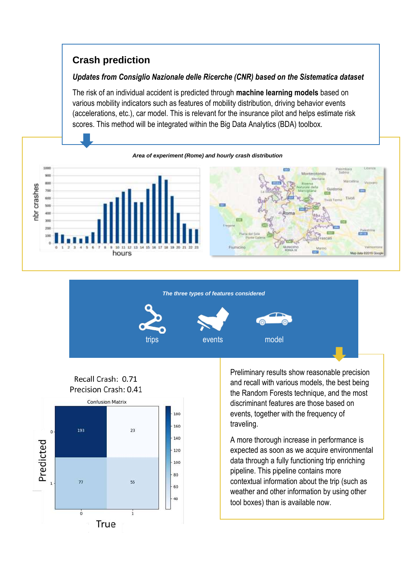## **Crash prediction**

#### *Updates from Consiglio Nazionale delle Ricerche (CNR) based on the Sistematica dataset*

The risk of an individual accident is predicted through **machine learning models** based on various mobility indicators such as features of mobility distribution, driving behavior events (accelerations, etc.), car model. This is relevant for the insurance pilot and helps estimate risk scores. This method will be integrated within the Big Data Analytics (BDA) toolbox.









Preliminary results show reasonable precision and recall with various models, the best being the Random Forests technique, and the most discriminant features are those based on events, together with the frequency of traveling.

A more thorough increase in performance is expected as soon as we acquire environmental data through a fully functioning trip enriching pipeline. This pipeline contains more contextual information about the trip (such as weather and other information by using other tool boxes) than is available now.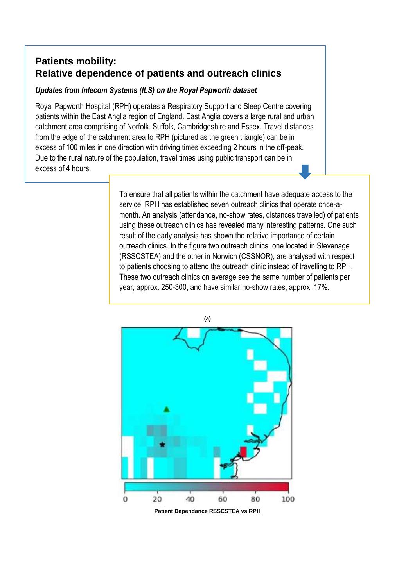### **Patients mobility: Relative dependence of patients and outreach clinics**

#### *Updates from Inlecom Systems (ILS) on the Royal Papworth dataset*

Royal Papworth Hospital (RPH) operates a Respiratory Support and Sleep Centre covering patients within the East Anglia region of England. East Anglia covers a large rural and urban catchment area comprising of Norfolk, Suffolk, Cambridgeshire and Essex. Travel distances from the edge of the catchment area to RPH (pictured as the green triangle) can be in excess of 100 miles in one direction with driving times exceeding 2 hours in the off-peak. Due to the rural nature of the population, travel times using public transport can be in excess of 4 hours.

> To ensure that all patients within the catchment have adequate access to the service, RPH has established seven outreach clinics that operate once-amonth. An analysis (attendance, no-show rates, distances travelled) of patients using these outreach clinics has revealed many interesting patterns. One such result of the early analysis has shown the relative importance of certain outreach clinics. In the figure two outreach clinics, one located in Stevenage (RSSCSTEA) and the other in Norwich (CSSNOR), are analysed with respect to patients choosing to attend the outreach clinic instead of travelling to RPH. These two outreach clinics on average see the same number of patients per year, approx. 250-300, and have similar no-show rates, approx. 17%.

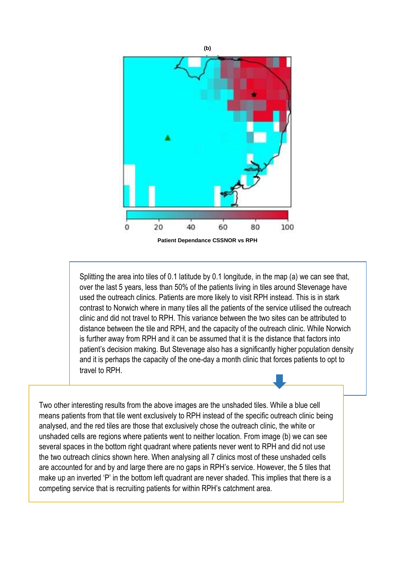

**Patient Dependance CSSNOR vs RPH**

Splitting the area into tiles of 0.1 latitude by 0.1 longitude, in the map (a) we can see that, over the last 5 years, less than 50% of the patients living in tiles around Stevenage have used the outreach clinics. Patients are more likely to visit RPH instead. This is in stark contrast to Norwich where in many tiles all the patients of the service utilised the outreach clinic and did not travel to RPH. This variance between the two sites can be attributed to distance between the tile and RPH, and the capacity of the outreach clinic. While Norwich is further away from RPH and it can be assumed that it is the distance that factors into patient's decision making. But Stevenage also has a significantly higher population density and it is perhaps the capacity of the one-day a month clinic that forces patients to opt to travel to RPH.

Two other interesting results from the above images are the unshaded tiles. While a blue cell means patients from that tile went exclusively to RPH instead of the specific outreach clinic being analysed, and the red tiles are those that exclusively chose the outreach clinic, the white or unshaded cells are regions where patients went to neither location. From image (b) we can see several spaces in the bottom right quadrant where patients never went to RPH and did not use the two outreach clinics shown here. When analysing all 7 clinics most of these unshaded cells are accounted for and by and large there are no gaps in RPH's service. However, the 5 tiles that make up an inverted 'P' in the bottom left quadrant are never shaded. This implies that there is a competing service that is recruiting patients for within RPH's catchment area.